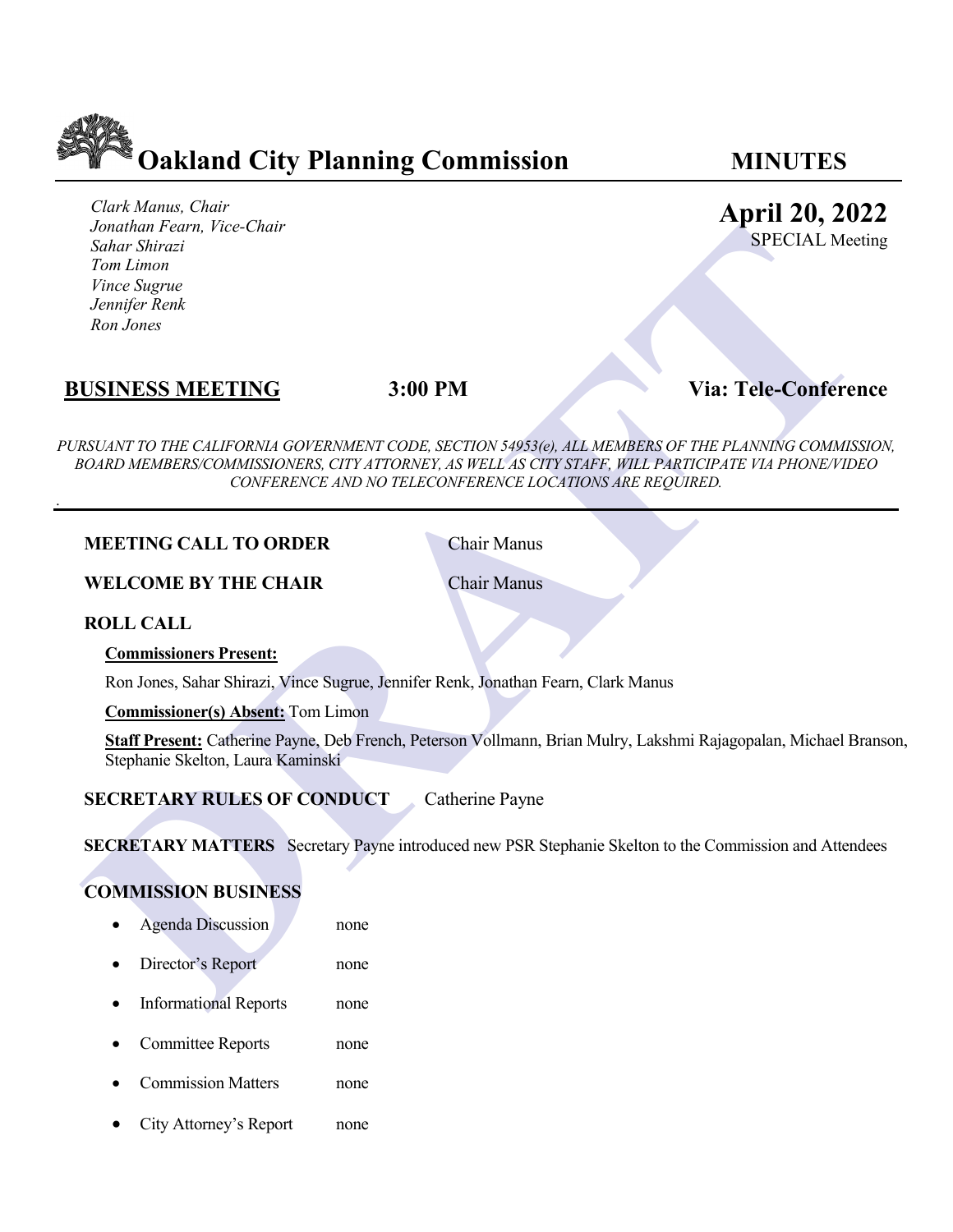

*Clark Manus, Chair Jonathan Fearn, Vice-Chair Sahar Shirazi Tom Limon Vince Sugrue Jennifer Renk Ron Jones* 

# **April 20, 2022**

SPECIAL Meeting

## **BUSINESS MEETING 3:00 PM Via: Tele-Conference**

*DRAFTAIR LIFERTING*<br> *DRAFTAIRER TIME CONDUCT*<br> **DRAFTAIRER CONDUCT CONDUCT**<br> **DRAFTAIRER SINCE TIME CONDUCT CONDUCT**<br> **DRAFTAIRER SURFAIRER CONDUCT CONDUCT**<br> **DRAFTAIRER SURFAIRER CONDUCT**<br> **DRAFTAIRER SURFAIRER CONDUC** *PURSUANT TO THE CALIFORNIA GOVERNMENT CODE, SECTION 54953(e), ALL MEMBERS OF THE PLANNING COMMISSION, BOARD MEMBERS/COMMISSIONERS, CITY ATTORNEY, AS WELL AS CITY STAFF, WILL PARTICIPATE VIA PHONE/VIDEO CONFERENCE AND NO TELECONFERENCE LOCATIONS ARE REQUIRED.*

#### **MEETING CALL TO ORDER** Chair Manus

**WELCOME BY THE CHAIR** Chair Manus

**ROLL CALL**

.

**Commissioners Present:**

Ron Jones, Sahar Shirazi, Vince Sugrue, Jennifer Renk, Jonathan Fearn, Clark Manus

**Commissioner(s) Absent:** Tom Limon

**Staff Present:** Catherine Payne, Deb French, Peterson Vollmann, Brian Mulry, Lakshmi Rajagopalan, Michael Branson, Stephanie Skelton, Laura Kaminski

### **SECRETARY RULES OF CONDUCT** Catherine Payne

**SECRETARY MATTERS** Secretary Payne introduced new PSR Stephanie Skelton to the Commission and Attendees

#### **COMMISSION BUSINESS**

- Agenda Discussion none
- Director's Report none
- Informational Reports none
- Committee Reports none
- Commission Matters none
- City Attorney's Report none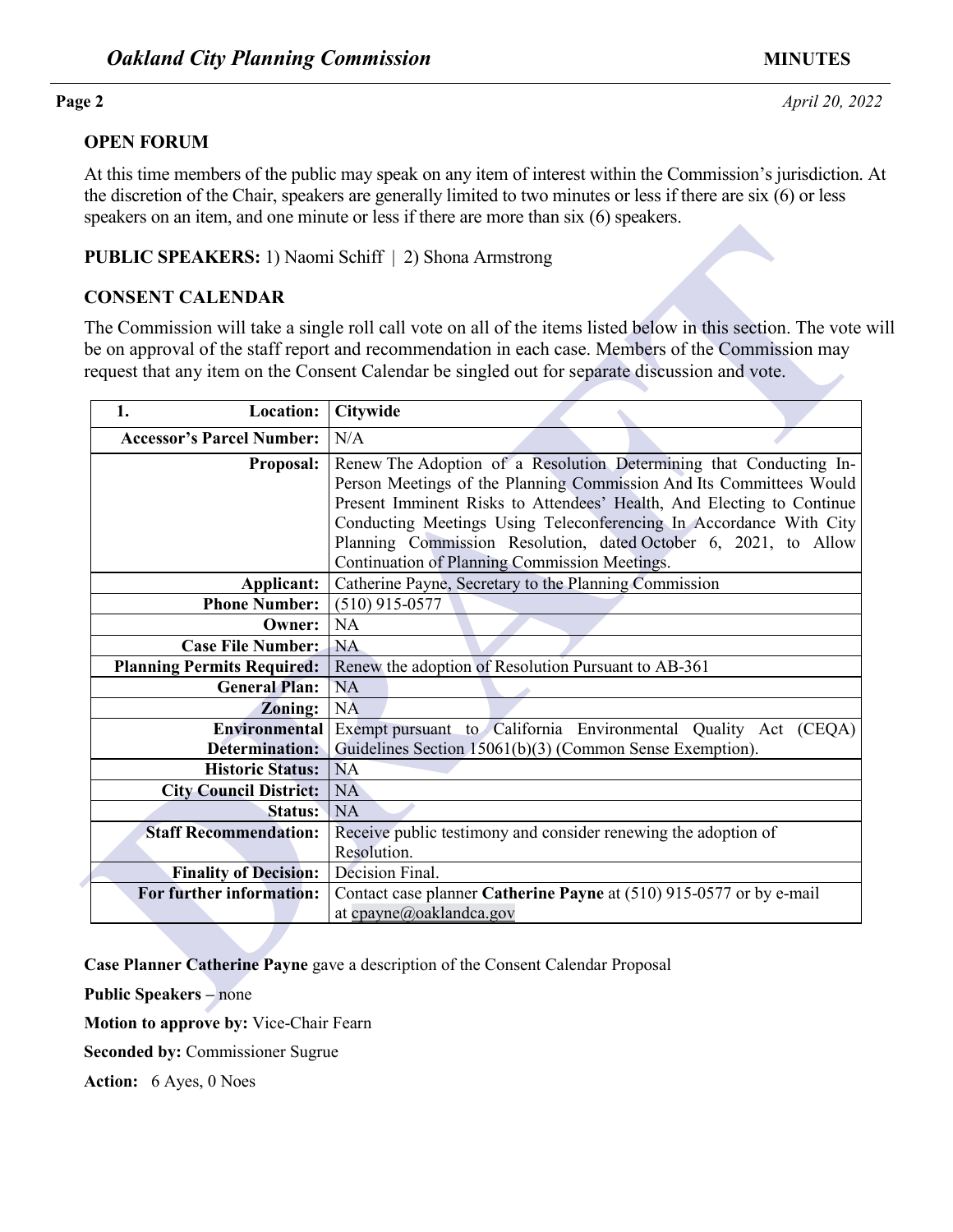### **OPEN FORUM**

At this time members of the public may speak on any item of interest within the Commission's jurisdiction. At the discretion of the Chair, speakers are generally limited to two minutes or less if there are six (6) or less speakers on an item, and one minute or less if there are more than six (6) speakers.

### **PUBLIC SPEAKERS:** 1) Naomi Schiff | 2) Shona Armstrong

### **CONSENT CALENDAR**

|                                  |                                   | be on approval of the staff report and recommendation in each case. Members of the Commission may<br>request that any item on the Consent Calendar be singled out for separate discussion and vote.                                                                                                                                                                                                          |
|----------------------------------|-----------------------------------|--------------------------------------------------------------------------------------------------------------------------------------------------------------------------------------------------------------------------------------------------------------------------------------------------------------------------------------------------------------------------------------------------------------|
| 1.                               | Location:                         | Citywide                                                                                                                                                                                                                                                                                                                                                                                                     |
| <b>Accessor's Parcel Number:</b> |                                   | N/A                                                                                                                                                                                                                                                                                                                                                                                                          |
|                                  | <b>Proposal:</b>                  | Renew The Adoption of a Resolution Determining that Conducting In-<br>Person Meetings of the Planning Commission And Its Committees Would<br>Present Imminent Risks to Attendees' Health, And Electing to Continue<br>Conducting Meetings Using Teleconferencing In Accordance With City<br>Planning Commission Resolution, dated October 6, 2021, to Allow<br>Continuation of Planning Commission Meetings. |
|                                  | Applicant:                        | Catherine Payne, Secretary to the Planning Commission                                                                                                                                                                                                                                                                                                                                                        |
|                                  | <b>Phone Number:</b>              | $(510)$ 915-0577                                                                                                                                                                                                                                                                                                                                                                                             |
|                                  | Owner:                            | <b>NA</b>                                                                                                                                                                                                                                                                                                                                                                                                    |
|                                  | <b>Case File Number:</b>          | <b>NA</b>                                                                                                                                                                                                                                                                                                                                                                                                    |
|                                  | <b>Planning Permits Required:</b> | Renew the adoption of Resolution Pursuant to AB-361                                                                                                                                                                                                                                                                                                                                                          |
|                                  | <b>General Plan:</b>              | <b>NA</b>                                                                                                                                                                                                                                                                                                                                                                                                    |
|                                  | Zoning:                           | <b>NA</b>                                                                                                                                                                                                                                                                                                                                                                                                    |
|                                  | <b>Environmental</b>              | Exempt pursuant to California Environmental Quality Act (CEQA)                                                                                                                                                                                                                                                                                                                                               |
|                                  | <b>Determination:</b>             | Guidelines Section 15061(b)(3) (Common Sense Exemption).                                                                                                                                                                                                                                                                                                                                                     |
|                                  | <b>Historic Status:</b>           | <b>NA</b>                                                                                                                                                                                                                                                                                                                                                                                                    |
|                                  | <b>City Council District:</b>     | <b>NA</b>                                                                                                                                                                                                                                                                                                                                                                                                    |
|                                  | <b>Status:</b>                    | <b>NA</b>                                                                                                                                                                                                                                                                                                                                                                                                    |
|                                  | <b>Staff Recommendation:</b>      | Receive public testimony and consider renewing the adoption of<br>Resolution.                                                                                                                                                                                                                                                                                                                                |
|                                  | <b>Finality of Decision:</b>      | Decision Final.                                                                                                                                                                                                                                                                                                                                                                                              |
|                                  | For further information:          | Contact case planner Catherine Payne at (510) 915-0577 or by e-mail                                                                                                                                                                                                                                                                                                                                          |
|                                  |                                   | at cpayne@oaklandca.gov                                                                                                                                                                                                                                                                                                                                                                                      |

**Motion to approve by:** Vice-Chair Fearn

**Seconded by:** Commissioner Sugrue

**Action:** 6 Ayes, 0 Noes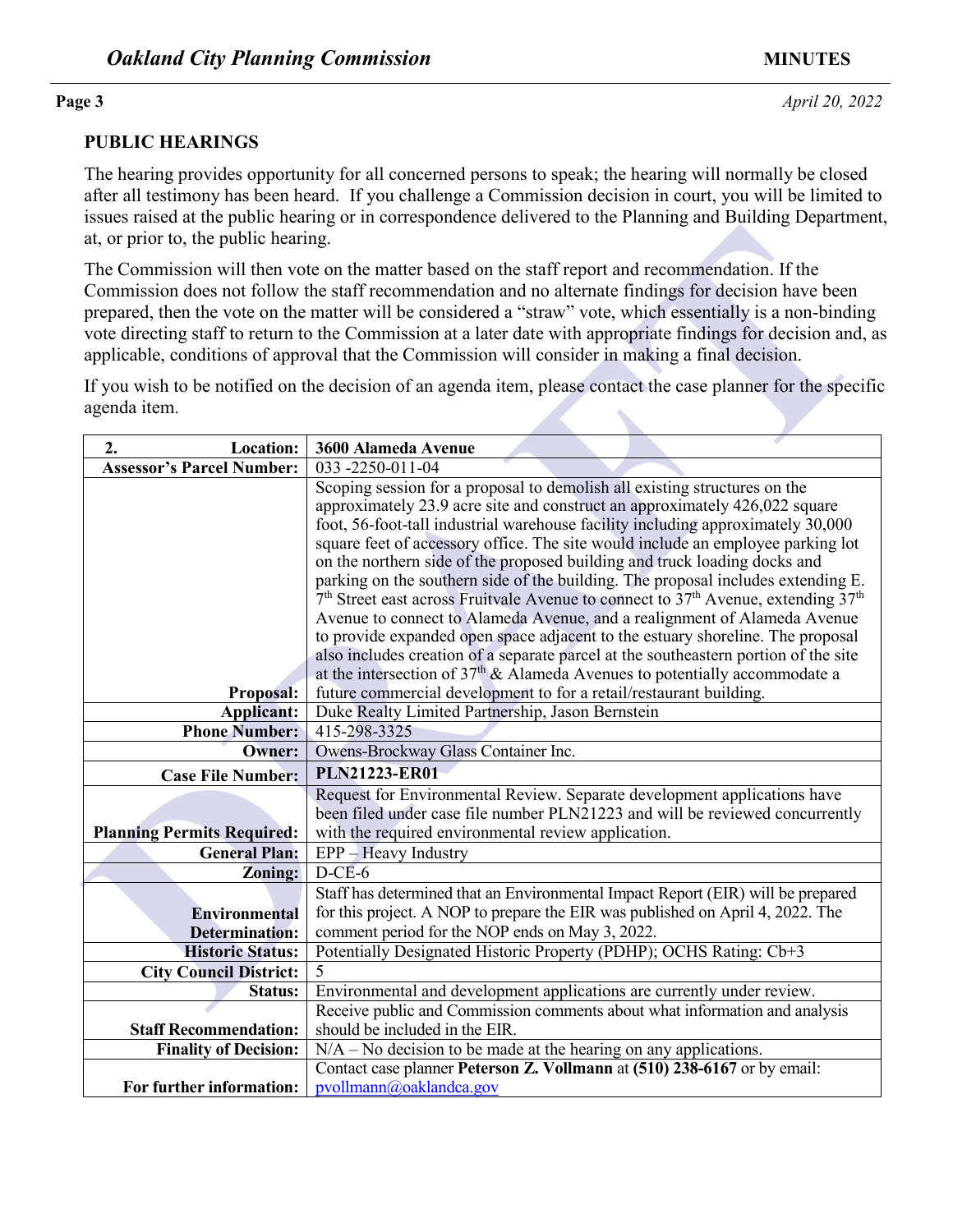### **PUBLIC HEARINGS**

The hearing provides opportunity for all concerned persons to speak; the hearing will normally be closed after all testimony has been heard. If you challenge a Commission decision in court, you will be limited to issues raised at the public hearing or in correspondence delivered to the Planning and Building Department, at, or prior to, the public hearing.

| at, or prior to, the public hearing.                                                                                                                                                                                                                                                                                                                                                                                                                                                                                                           |                                                                                                                                                                                                                                                                                                                                                                                                                                                                                                                                                                                                                                                                                                                                                                                                                                                                                                                                                                                                                          |  |  |  |
|------------------------------------------------------------------------------------------------------------------------------------------------------------------------------------------------------------------------------------------------------------------------------------------------------------------------------------------------------------------------------------------------------------------------------------------------------------------------------------------------------------------------------------------------|--------------------------------------------------------------------------------------------------------------------------------------------------------------------------------------------------------------------------------------------------------------------------------------------------------------------------------------------------------------------------------------------------------------------------------------------------------------------------------------------------------------------------------------------------------------------------------------------------------------------------------------------------------------------------------------------------------------------------------------------------------------------------------------------------------------------------------------------------------------------------------------------------------------------------------------------------------------------------------------------------------------------------|--|--|--|
| The Commission will then vote on the matter based on the staff report and recommendation. If the<br>Commission does not follow the staff recommendation and no alternate findings for decision have been<br>prepared, then the vote on the matter will be considered a "straw" vote, which essentially is a non-binding<br>vote directing staff to return to the Commission at a later date with appropriate findings for decision and, as<br>applicable, conditions of approval that the Commission will consider in making a final decision. |                                                                                                                                                                                                                                                                                                                                                                                                                                                                                                                                                                                                                                                                                                                                                                                                                                                                                                                                                                                                                          |  |  |  |
| If you wish to be notified on the decision of an agenda item, please contact the case planner for the specific<br>agenda item.                                                                                                                                                                                                                                                                                                                                                                                                                 |                                                                                                                                                                                                                                                                                                                                                                                                                                                                                                                                                                                                                                                                                                                                                                                                                                                                                                                                                                                                                          |  |  |  |
| Location:<br>2.                                                                                                                                                                                                                                                                                                                                                                                                                                                                                                                                | 3600 Alameda Avenue                                                                                                                                                                                                                                                                                                                                                                                                                                                                                                                                                                                                                                                                                                                                                                                                                                                                                                                                                                                                      |  |  |  |
| <b>Assessor's Parcel Number:</b>                                                                                                                                                                                                                                                                                                                                                                                                                                                                                                               | 033 -2250-011-04                                                                                                                                                                                                                                                                                                                                                                                                                                                                                                                                                                                                                                                                                                                                                                                                                                                                                                                                                                                                         |  |  |  |
| Proposal:                                                                                                                                                                                                                                                                                                                                                                                                                                                                                                                                      | Scoping session for a proposal to demolish all existing structures on the<br>approximately 23.9 acre site and construct an approximately 426,022 square<br>foot, 56-foot-tall industrial warehouse facility including approximately 30,000<br>square feet of accessory office. The site would include an employee parking lot<br>on the northern side of the proposed building and truck loading docks and<br>parking on the southern side of the building. The proposal includes extending E.<br>$7th$ Street east across Fruitvale Avenue to connect to 37 <sup>th</sup> Avenue, extending 37 <sup>th</sup><br>Avenue to connect to Alameda Avenue, and a realignment of Alameda Avenue<br>to provide expanded open space adjacent to the estuary shoreline. The proposal<br>also includes creation of a separate parcel at the southeastern portion of the site<br>at the intersection of $37th$ & Alameda Avenues to potentially accommodate a<br>future commercial development to for a retail/restaurant building. |  |  |  |
| <b>Applicant:</b>                                                                                                                                                                                                                                                                                                                                                                                                                                                                                                                              | Duke Realty Limited Partnership, Jason Bernstein                                                                                                                                                                                                                                                                                                                                                                                                                                                                                                                                                                                                                                                                                                                                                                                                                                                                                                                                                                         |  |  |  |
| <b>Phone Number:</b>                                                                                                                                                                                                                                                                                                                                                                                                                                                                                                                           | 415-298-3325                                                                                                                                                                                                                                                                                                                                                                                                                                                                                                                                                                                                                                                                                                                                                                                                                                                                                                                                                                                                             |  |  |  |
| <b>Owner:</b>                                                                                                                                                                                                                                                                                                                                                                                                                                                                                                                                  | Owens-Brockway Glass Container Inc.                                                                                                                                                                                                                                                                                                                                                                                                                                                                                                                                                                                                                                                                                                                                                                                                                                                                                                                                                                                      |  |  |  |
| <b>Case File Number:</b>                                                                                                                                                                                                                                                                                                                                                                                                                                                                                                                       | <b>PLN21223-ER01</b>                                                                                                                                                                                                                                                                                                                                                                                                                                                                                                                                                                                                                                                                                                                                                                                                                                                                                                                                                                                                     |  |  |  |
| <b>Planning Permits Required:</b>                                                                                                                                                                                                                                                                                                                                                                                                                                                                                                              | Request for Environmental Review. Separate development applications have<br>been filed under case file number PLN21223 and will be reviewed concurrently<br>with the required environmental review application.                                                                                                                                                                                                                                                                                                                                                                                                                                                                                                                                                                                                                                                                                                                                                                                                          |  |  |  |
| <b>General Plan:</b>                                                                                                                                                                                                                                                                                                                                                                                                                                                                                                                           | EPP - Heavy Industry                                                                                                                                                                                                                                                                                                                                                                                                                                                                                                                                                                                                                                                                                                                                                                                                                                                                                                                                                                                                     |  |  |  |
| Zoning:                                                                                                                                                                                                                                                                                                                                                                                                                                                                                                                                        | $D-CE-6$                                                                                                                                                                                                                                                                                                                                                                                                                                                                                                                                                                                                                                                                                                                                                                                                                                                                                                                                                                                                                 |  |  |  |
|                                                                                                                                                                                                                                                                                                                                                                                                                                                                                                                                                | Staff has determined that an Environmental Impact Report (EIR) will be prepared                                                                                                                                                                                                                                                                                                                                                                                                                                                                                                                                                                                                                                                                                                                                                                                                                                                                                                                                          |  |  |  |
| <b>Environmental</b>                                                                                                                                                                                                                                                                                                                                                                                                                                                                                                                           | for this project. A NOP to prepare the EIR was published on April 4, 2022. The                                                                                                                                                                                                                                                                                                                                                                                                                                                                                                                                                                                                                                                                                                                                                                                                                                                                                                                                           |  |  |  |
| <b>Determination:</b>                                                                                                                                                                                                                                                                                                                                                                                                                                                                                                                          | comment period for the NOP ends on May 3, 2022.                                                                                                                                                                                                                                                                                                                                                                                                                                                                                                                                                                                                                                                                                                                                                                                                                                                                                                                                                                          |  |  |  |
| <b>Historic Status:</b>                                                                                                                                                                                                                                                                                                                                                                                                                                                                                                                        | Potentially Designated Historic Property (PDHP); OCHS Rating: Cb+3                                                                                                                                                                                                                                                                                                                                                                                                                                                                                                                                                                                                                                                                                                                                                                                                                                                                                                                                                       |  |  |  |
| <b>City Council District:</b>                                                                                                                                                                                                                                                                                                                                                                                                                                                                                                                  | 5                                                                                                                                                                                                                                                                                                                                                                                                                                                                                                                                                                                                                                                                                                                                                                                                                                                                                                                                                                                                                        |  |  |  |
| Status:                                                                                                                                                                                                                                                                                                                                                                                                                                                                                                                                        | Environmental and development applications are currently under review.                                                                                                                                                                                                                                                                                                                                                                                                                                                                                                                                                                                                                                                                                                                                                                                                                                                                                                                                                   |  |  |  |
|                                                                                                                                                                                                                                                                                                                                                                                                                                                                                                                                                | Receive public and Commission comments about what information and analysis                                                                                                                                                                                                                                                                                                                                                                                                                                                                                                                                                                                                                                                                                                                                                                                                                                                                                                                                               |  |  |  |
| <b>Staff Recommendation:</b>                                                                                                                                                                                                                                                                                                                                                                                                                                                                                                                   | should be included in the EIR.                                                                                                                                                                                                                                                                                                                                                                                                                                                                                                                                                                                                                                                                                                                                                                                                                                                                                                                                                                                           |  |  |  |
| <b>Finality of Decision:</b>                                                                                                                                                                                                                                                                                                                                                                                                                                                                                                                   | $N/A$ – No decision to be made at the hearing on any applications.                                                                                                                                                                                                                                                                                                                                                                                                                                                                                                                                                                                                                                                                                                                                                                                                                                                                                                                                                       |  |  |  |
|                                                                                                                                                                                                                                                                                                                                                                                                                                                                                                                                                | Contact case planner Peterson Z. Vollmann at (510) 238-6167 or by email:                                                                                                                                                                                                                                                                                                                                                                                                                                                                                                                                                                                                                                                                                                                                                                                                                                                                                                                                                 |  |  |  |
| For further information:                                                                                                                                                                                                                                                                                                                                                                                                                                                                                                                       | pvollmann@oaklandca.gov                                                                                                                                                                                                                                                                                                                                                                                                                                                                                                                                                                                                                                                                                                                                                                                                                                                                                                                                                                                                  |  |  |  |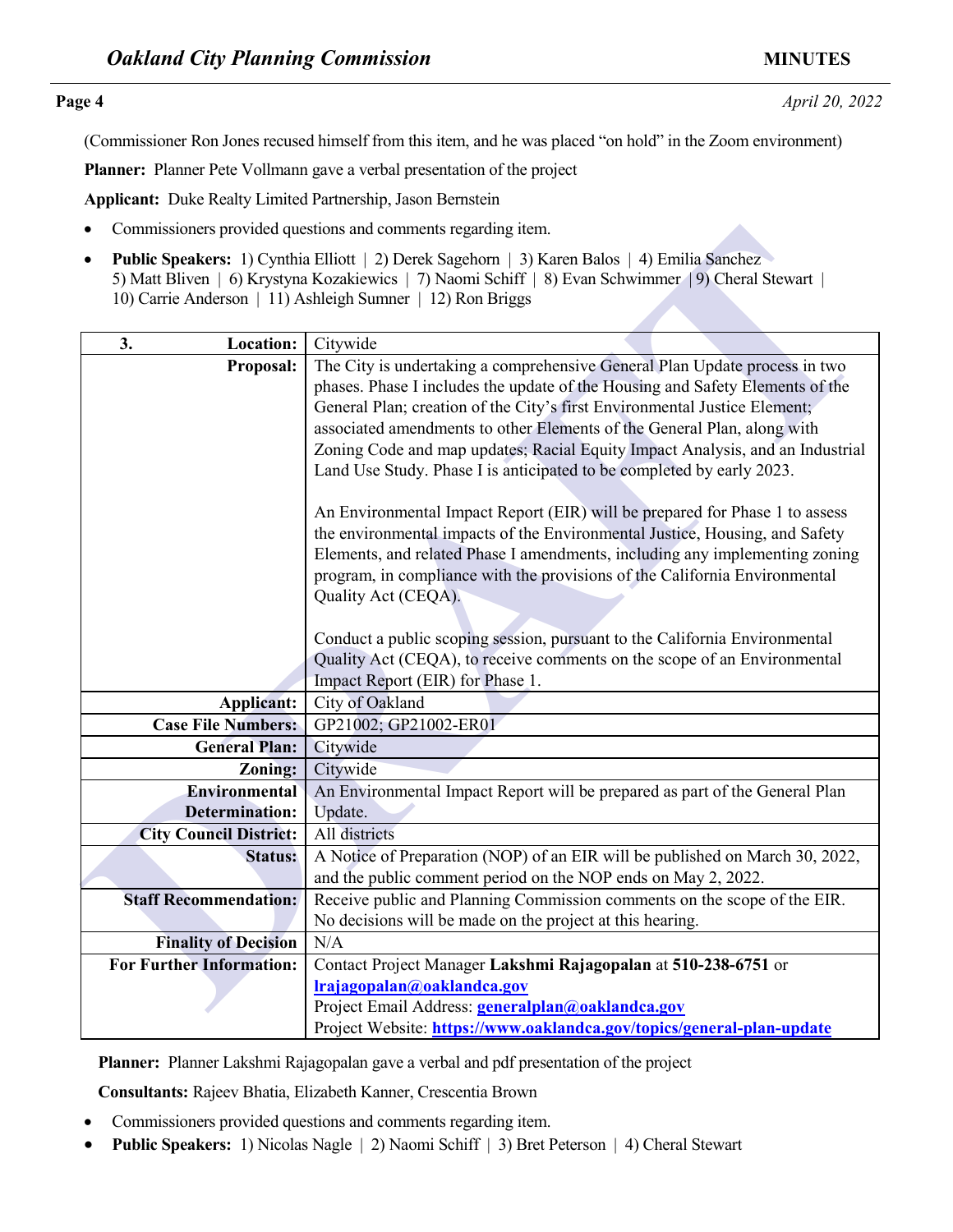**Page 4** *April 20, 2022* 

(Commissioner Ron Jones recused himself from this item, and he was placed "on hold" in the Zoom environment)

**Planner:** Planner Pete Vollmann gave a verbal presentation of the project

**Applicant:** Duke Realty Limited Partnership, Jason Bernstein

- Commissioners provided questions and comments regarding item.
- **Public Speakers:** 1) Cynthia Elliott | 2) Derek Sagehorn | 3) Karen Balos | 4) Emilia Sanchez 5) Matt Bliven | 6) Krystyna Kozakiewics | 7) Naomi Schiff | 8) Evan Schwimmer | 9) Cheral Stewart | 10) Carrie Anderson | 11) Ashleigh Sumner | 12) Ron Briggs

| Commissioners provided questions and comments regarding item.                                                                                                                                                                                                                   |                                                                                                                                                                                                                                                                                                                                                                                                                                                                               |  |
|---------------------------------------------------------------------------------------------------------------------------------------------------------------------------------------------------------------------------------------------------------------------------------|-------------------------------------------------------------------------------------------------------------------------------------------------------------------------------------------------------------------------------------------------------------------------------------------------------------------------------------------------------------------------------------------------------------------------------------------------------------------------------|--|
| Public Speakers: 1) Cynthia Elliott   2) Derek Sagehorn   3) Karen Balos   4) Emilia Sanchez<br>$\bullet$<br>5) Matt Bliven   6) Krystyna Kozakiewics   7) Naomi Schiff   8) Evan Schwimmer   9) Cheral Stewart  <br>10) Carrie Anderson   11) Ashleigh Sumner   12) Ron Briggs |                                                                                                                                                                                                                                                                                                                                                                                                                                                                               |  |
| 3.<br>Location:                                                                                                                                                                                                                                                                 | Citywide                                                                                                                                                                                                                                                                                                                                                                                                                                                                      |  |
| <b>Proposal:</b>                                                                                                                                                                                                                                                                | The City is undertaking a comprehensive General Plan Update process in two<br>phases. Phase I includes the update of the Housing and Safety Elements of the<br>General Plan; creation of the City's first Environmental Justice Element;<br>associated amendments to other Elements of the General Plan, along with<br>Zoning Code and map updates; Racial Equity Impact Analysis, and an Industrial<br>Land Use Study. Phase I is anticipated to be completed by early 2023. |  |
|                                                                                                                                                                                                                                                                                 | An Environmental Impact Report (EIR) will be prepared for Phase 1 to assess<br>the environmental impacts of the Environmental Justice, Housing, and Safety<br>Elements, and related Phase I amendments, including any implementing zoning<br>program, in compliance with the provisions of the California Environmental<br>Quality Act (CEQA).                                                                                                                                |  |
|                                                                                                                                                                                                                                                                                 | Conduct a public scoping session, pursuant to the California Environmental<br>Quality Act (CEQA), to receive comments on the scope of an Environmental<br>Impact Report (EIR) for Phase 1.                                                                                                                                                                                                                                                                                    |  |
| <b>Applicant:</b>                                                                                                                                                                                                                                                               | City of Oakland                                                                                                                                                                                                                                                                                                                                                                                                                                                               |  |
| <b>Case File Numbers:</b>                                                                                                                                                                                                                                                       | GP21002; GP21002-ER01                                                                                                                                                                                                                                                                                                                                                                                                                                                         |  |
| <b>General Plan:</b>                                                                                                                                                                                                                                                            | Citywide                                                                                                                                                                                                                                                                                                                                                                                                                                                                      |  |
| <b>Zoning:</b>                                                                                                                                                                                                                                                                  | Citywide                                                                                                                                                                                                                                                                                                                                                                                                                                                                      |  |
| <b>Environmental</b>                                                                                                                                                                                                                                                            | An Environmental Impact Report will be prepared as part of the General Plan                                                                                                                                                                                                                                                                                                                                                                                                   |  |
| <b>Determination:</b>                                                                                                                                                                                                                                                           | Update.                                                                                                                                                                                                                                                                                                                                                                                                                                                                       |  |
| <b>City Council District:</b>                                                                                                                                                                                                                                                   | All districts                                                                                                                                                                                                                                                                                                                                                                                                                                                                 |  |
| <b>Status:</b>                                                                                                                                                                                                                                                                  | A Notice of Preparation (NOP) of an EIR will be published on March 30, 2022,<br>and the public comment period on the NOP ends on May 2, 2022.                                                                                                                                                                                                                                                                                                                                 |  |
| <b>Staff Recommendation:</b>                                                                                                                                                                                                                                                    | Receive public and Planning Commission comments on the scope of the EIR.                                                                                                                                                                                                                                                                                                                                                                                                      |  |
|                                                                                                                                                                                                                                                                                 | No decisions will be made on the project at this hearing.                                                                                                                                                                                                                                                                                                                                                                                                                     |  |
| <b>Finality of Decision</b>                                                                                                                                                                                                                                                     | N/A                                                                                                                                                                                                                                                                                                                                                                                                                                                                           |  |
| <b>For Further Information:</b>                                                                                                                                                                                                                                                 | Contact Project Manager Lakshmi Rajagopalan at 510-238-6751 or                                                                                                                                                                                                                                                                                                                                                                                                                |  |
|                                                                                                                                                                                                                                                                                 | Irajagopalan@oaklandca.gov                                                                                                                                                                                                                                                                                                                                                                                                                                                    |  |
|                                                                                                                                                                                                                                                                                 | Project Email Address: generalplan@oaklandca.gov                                                                                                                                                                                                                                                                                                                                                                                                                              |  |
|                                                                                                                                                                                                                                                                                 | Project Website: https://www.oaklandca.gov/topics/general-plan-update                                                                                                                                                                                                                                                                                                                                                                                                         |  |

**Planner:** Planner Lakshmi Rajagopalan gave a verbal and pdf presentation of the project

**Consultants:** Rajeev Bhatia, Elizabeth Kanner, Crescentia Brown

- Commissioners provided questions and comments regarding item.
- **Public Speakers:** 1) Nicolas Nagle | 2) Naomi Schiff | 3) Bret Peterson | 4) Cheral Stewart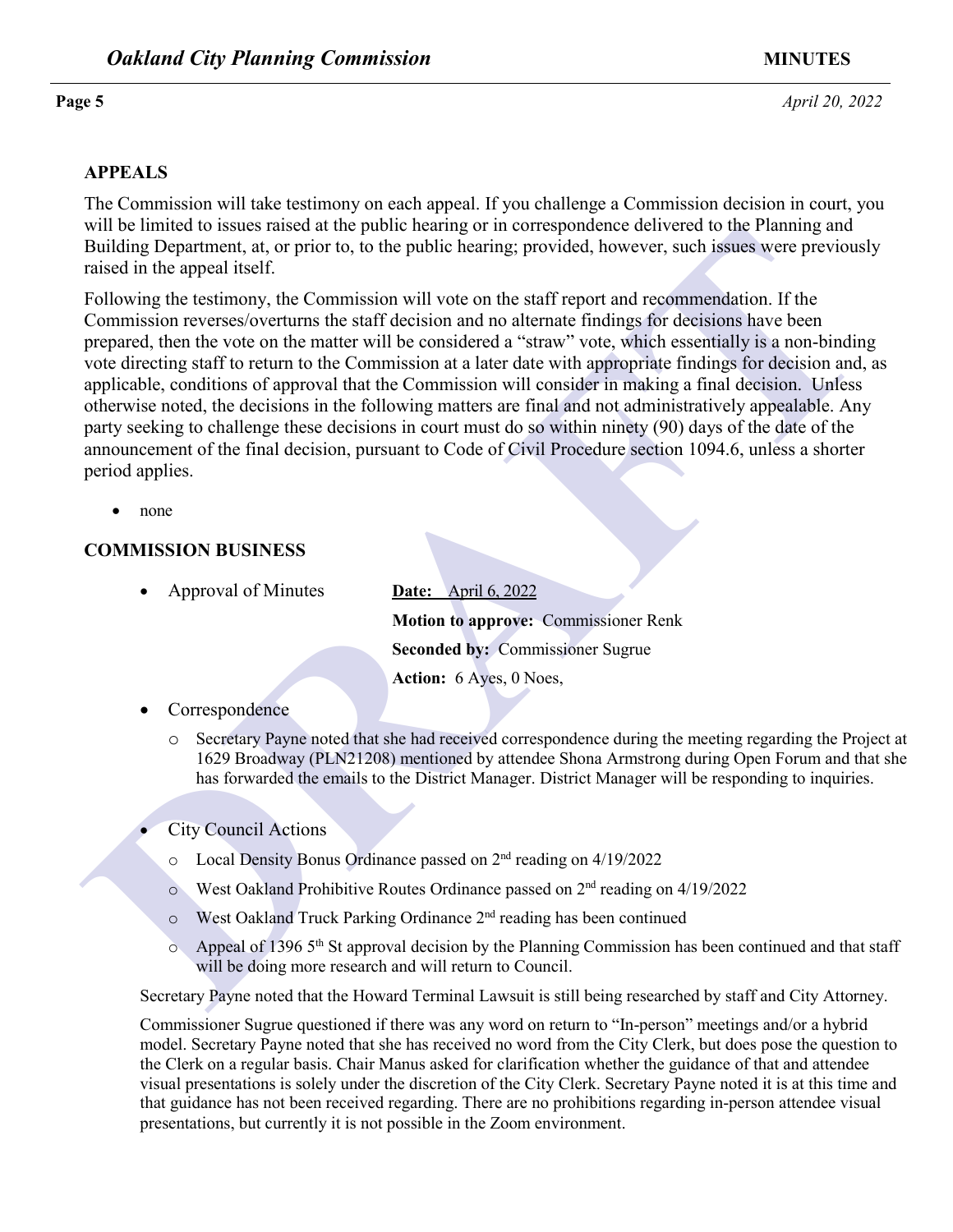**Page 5** *April 20, 2022* 

### **APPEALS**

The Commission will take testimony on each appeal. If you challenge a Commission decision in court, you will be limited to issues raised at the public hearing or in correspondence delivered to the Planning and Building Department, at, or prior to, to the public hearing; provided, however, such issues were previously raised in the appeal itself.

While the measure that states are the plotter heritoresphere to create the production of the proposition of the plotter between the stationary, at or prior to, to the public hearing; provided, however, such issues were pr Following the testimony, the Commission will vote on the staff report and recommendation. If the Commission reverses/overturns the staff decision and no alternate findings for decisions have been prepared, then the vote on the matter will be considered a "straw" vote, which essentially is a non-binding vote directing staff to return to the Commission at a later date with appropriate findings for decision and, as applicable, conditions of approval that the Commission will consider in making a final decision. Unless otherwise noted, the decisions in the following matters are final and not administratively appealable. Any party seeking to challenge these decisions in court must do so within ninety (90) days of the date of the announcement of the final decision, pursuant to Code of Civil Procedure section 1094.6, unless a shorter period applies.

• none

### **COMMISSION BUSINESS**

• Approval of Minutes **Date:** April 6, 2022

**Motion to approve:** Commissioner Renk **Seconded by:** Commissioner Sugrue **Action:** 6 Ayes, 0 Noes,

- **Correspondence** 
	- o Secretary Payne noted that she had received correspondence during the meeting regarding the Project at 1629 Broadway (PLN21208) mentioned by attendee Shona Armstrong during Open Forum and that she has forwarded the emails to the District Manager. District Manager will be responding to inquiries.
- City Council Actions
	- o Local Density Bonus Ordinance passed on 2nd reading on 4/19/2022
	- o West Oakland Prohibitive Routes Ordinance passed on 2nd reading on 4/19/2022
	- o West Oakland Truck Parking Ordinance 2nd reading has been continued
	- $\circ$  Appeal of 1396 5<sup>th</sup> St approval decision by the Planning Commission has been continued and that staff will be doing more research and will return to Council.

Secretary Payne noted that the Howard Terminal Lawsuit is still being researched by staff and City Attorney.

Commissioner Sugrue questioned if there was any word on return to "In-person" meetings and/or a hybrid model. Secretary Payne noted that she has received no word from the City Clerk, but does pose the question to the Clerk on a regular basis. Chair Manus asked for clarification whether the guidance of that and attendee visual presentations is solely under the discretion of the City Clerk. Secretary Payne noted it is at this time and that guidance has not been received regarding. There are no prohibitions regarding in-person attendee visual presentations, but currently it is not possible in the Zoom environment.